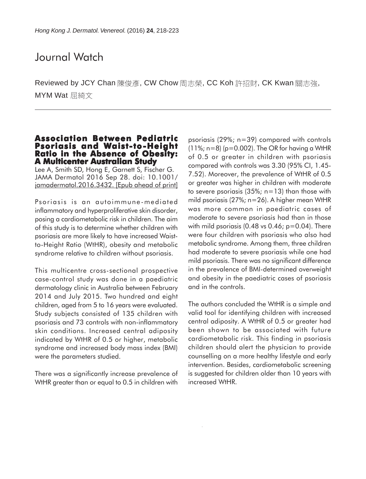# Journal Watch

Reviewed by JCY Chan 陳俊彥, CW Chow 周志榮, CC Koh 許招財, CK Kwan 關志強, MYM Wat 屈綺文

## **Association Between Pediatric Psoriasis and Waist-to-Height<br>Ratio in the Absence of Obesity: A Multicenter Australian Study**

Lee A, Smith SD, Hong E, Garnett S, Fischer G. JAMA Dermatol 2016 Sep 28. doi: 10.1001/ jamadermatol.2016.3432. [Epub ahead of print]

Psoriasis is an autoimmune-mediated inflammatory and hyperproliferative skin disorder, posing a cardiometabolic risk in children. The aim of this study is to determine whether children with psoriasis are more likely to have increased Waistto-Height Ratio (WtHR), obesity and metabolic syndrome relative to children without psoriasis.

This multicentre cross-sectional prospective case-control study was done in a paediatric dermatology clinic in Australia between February 2014 and July 2015. Two hundred and eight children, aged from 5 to 16 years were evaluated. Study subjects consisted of 135 children with psoriasis and 73 controls with non-inflammatory skin conditions. Increased central adiposity indicated by WtHR of 0.5 or higher, metabolic syndrome and increased body mass index (BMI) were the parameters studied.

There was a significantly increase prevalence of WtHR greater than or equal to 0.5 in children with

psoriasis (29%; n=39) compared with controls  $(11\%; n=8)$  (p=0.002). The OR for having a WtHR of 0.5 or greater in children with psoriasis compared with controls was 3.30 (95% CI, 1.45- 7.52). Moreover, the prevalence of WtHR of 0.5 or greater was higher in children with moderate to severe psoriasis (35%; n=13) than those with mild psoriasis (27%; n=26). A higher mean WtHR was more common in paediatric cases of moderate to severe psoriasis had than in those with mild psoriasis  $(0.48 \text{ vs } 0.46; \text{ p} = 0.04)$ . There were four children with psoriasis who also had metabolic syndrome. Among them, three children had moderate to severe psoriasis while one had mild psoriasis. There was no significant difference in the prevalence of BMI-determined overweight and obesity in the paediatric cases of psoriasis and in the controls.

The authors concluded the WtHR is a simple and valid tool for identifying children with increased central adiposity. A WtHR of 0.5 or greater had been shown to be associated with future cardiometabolic risk. This finding in psoriasis children should alert the physician to provide counselling on a more healthy lifestyle and early intervention. Besides, cardiometabolic screening is suggested for children older than 10 years with increased WtHR.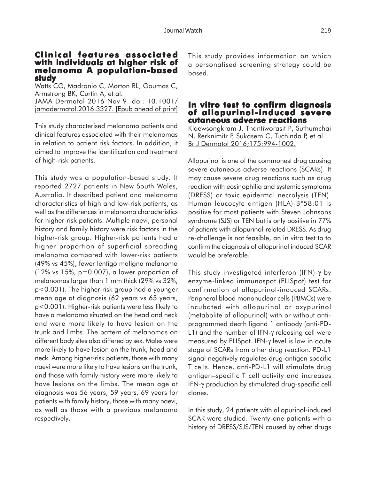#### **Clinical features associated with individuals at higher risk of with individuals risk melanoma A population-based study**

Watts CG, Madronio C, Morton RL, Goumas C, Armstrong BK, Curtin A, et al. JAMA Dermatol 2016 Nov 9. doi: 10.1001/ jamadermatol.2016.3327. [Epub ahead of print]

This study characterised melanoma patients and clinical features associated with their melanomas in relation to patient risk factors. In addition, it aimed to improve the identification and treatment of high-risk patients.

This study was a population-based study. It reported 2727 patients in New South Wales, Australia. It described patient and melanoma characteristics of high and low-risk patients, as well as the differences in melanoma characteristics for higher-risk patients. Multiple naevi, personal history and family history were risk factors in the higher-risk group. Higher-risk patients had a higher proportion of superficial spreading melanoma compared with lower-risk patients (49% vs 45%), fewer lentigo maligna melanoma  $(12\% \text{ vs } 15\%, \text{ p} = 0.007)$ , a lower proportion of melanomas larger than 1 mm thick (29% vs 32%, p<0.001). The higher-risk group had a younger mean age at diagnosis (62 years vs 65 years, p<0.001). Higher-risk patients were less likely to have a melanoma situated on the head and neck and were more likely to have lesion on the trunk and limbs. The pattern of melanomas on different body sites also differed by sex. Males were more likely to have lesion on the trunk, head and neck. Among higher-risk patients, those with many naevi were more likely to have lesions on the trunk, and those with family history were more likely to have lesions on the limbs. The mean age at diagnosis was 56 years, 59 years, 69 years for patients with family history, those with many naevi, as well as those with a previous melanoma respectively.

This study provides information on which a personalised screening strategy could be based.

#### **In vitro test to confirm diagnosis of allopurinol-induced severe cutaneous adverse reactions**

Klaewsongkram J, Thantiworasit P, Suthumchai N, Rerknimitr P, Sukasem C, Tuchinda P, et al. Br J Dermatol 2016;175:994-1002.

Allopurinol is one of the commonest drug causing severe cutaneous adverse reactions (SCARs). It may cause severe drug reactions such as drug reaction with eosinophilia and systemic symptoms (DRESS) or toxic epidermal necrolysis (TEN). Human leucocyte antigen (HLA)-B\*58:01 is positive for most patients with Steven Johnsons syndrome (SJS) or TEN but is only positive in 77% of patients with allopurinol-related DRESS. As drug re-challenge is not feasible, an in vitro test to to confirm the diagnosis of allopurinol induced SCAR would be preferable.

This study investigated interferon (IFN)-γ by enzyme-linked immunospot (ELISpot) test for confirmation of allopurinol-induced SCARs. Peripheral blood mononuclear cells (PBMCs) were incubated with allopurinol or oxypurinol (metabolite of allopurinol) with or without antiprogrammed death ligand 1 antibody (anti-PD-L1) and the number of IFN-γ releasing cell were measured by ELISpot. IFN-γ level is low in acute stage of SCARs from other drug reaction. PD-L1 signal negatively regulates drug-antigen specific T cells. Hence, anti-PD-L1 will stimulate drug antigen–specific T cell activity and increases IFN-γ production by stimulated drug-specific cell clones.

In this study, 24 patients with allopurinol-induced SCAR were studied. Twenty-one patients with a history of DRESS/SJS/TEN caused by other drugs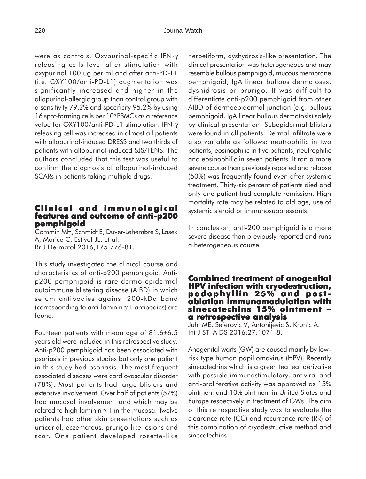were as controls. Oxypurinol-specific IFN-γ releasing cells level after stimulation with oxypurinol 100 ug per ml and after anti-PD-L1 (i.e. OXY100/anti-PD-L1) augmentation was significantly increased and higher in the allopurinol-allergic group than control group with a sensitivity 79.2% and specificity 95.2% by using 16 spot-forming cells per 10<sup>6</sup> PBMCs as a reference value for OXY100/anti-PD-L1 stimulation. IFN-γ releasing cell was increased in almost all patients with allopurinol-induced DRESS and two thirds of patients with allopurinol-induced SJS/TENS. The authors concluded that this test was useful to confirm the diagnosis of allopurinol-induced SCARs in patients taking multiple drugs.

#### **Clinical and immunological Clinical and features and outcome of anti-p200 pemphigoid**

Commin MH, Schmidt E, Duver-Lehembre S, Lasek A, Morice C, Estival JL, et al. Br J Dermatol 2016;175:776-81.

This study investigated the clinical course and characteristics of anti-p200 pemphigoid. Antip200 pemphigoid is rare dermo-epidermal autoimmune blistering disease (AIBD) in which serum antibodies against 200-kDa band (corresponding to anti-laminin γ 1 antibodies) are found.

Fourteen patients with mean age of 81.6±6.5 years old were included in this retrospective study. Anti-p200 pemphigoid has been associated with psoriasis in previous studies but only one patient in this study had psoriasis. The most frequent associated diseases were cardiovascular disorder (78%). Most patients had large blisters and extensive involvement. Over half of patients (57%) had mucosal involvement and which may be related to high laminin  $γ$  1 in the mucosa. Twelve patients had other skin presentations such as urticarial, eczematous, prurigo-like lesions and scar. One patient developed rosette-like herpetiform, dyshydrosis-like presentation. The clinical presentation was heterogeneous and may resemble bullous pemphigoid, mucous membrane pemphigoid, IgA linear bullous dermatoses, dyshidrosis or prurigo. It was difficult to differentiate anti-p200 pemphigoid from other AIBD of dermoepidermal junction (e.g. bullous pemphigoid, IgA linear bullous dermatosis) solely by clinical presentation. Subepidermal blisters were found in all patients. Dermal infiltrate were also variable as follows: neutrophilic in two patients, eosinophilic in five patients, neutrophilic and eosinophilic in seven patients. It ran a more severe course than previously reported and relapse (50%) was frequently found even after systemic treatment. Thirty-six percent of patients died and only one patient had complete remission. High mortality rate may be related to old age, use of systemic steroid or immunosuppressants.

In conclusion, anti-200 pemphigoid is a more severe disease than previously reported and runs a heterogeneous course.

# **Combined treatment of anogenital treatment of anogenital HPV infection with cryodestruction, HPV infection with cryodestruction, podophyllin 25% and post podophyllin 25% - ablation immunomodulation with sinecatechins 15% ointment sinecatechins 15% ointment** <sup>−</sup> **a retrospective analysis**

Juhl ME, Seferovic V, Antonijevic S, Krunic A. Int J STI AIDS 2016;27:1071-8.

Anogenital warts (GW) are caused mainly by lowrisk type human papillomavirus (HPV). Recently sinecatechins which is a green tea leaf derivative with possible immunostimulatory, antiviral and anti-proliferative activity was approved as 15% ointment and 10% ointment in United States and Europe respectively in treatment of GWs. The aim of this retrospective study was to evaluate the clearance rate (CC) and recurrence rate (RR) of this combination of cryodestructive method and sinecatechins.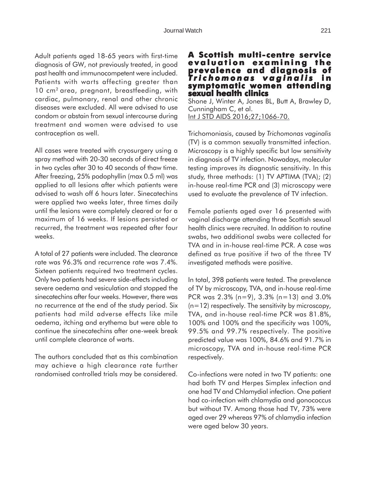Adult patients aged 18-65 years with first-time diagnosis of GW, not previously treated, in good past health and immunocompetent were included. Patients with warts affecting greater than 10 cm<sup>2</sup> area, pregnant, breastfeeding, with cardiac, pulmonary, renal and other chronic diseases were excluded. All were advised to use condom or abstain from sexual intercourse during treatment and women were advised to use contraception as well.

All cases were treated with cryosurgery using a spray method with 20-30 seconds of direct freeze in two cycles after 30 to 40 seconds of thaw time. After freezing, 25% podophyllin (max 0.5 ml) was applied to all lesions after which patients were advised to wash off 6 hours later. Sinecatechins were applied two weeks later, three times daily until the lesions were completely cleared or for a maximum of 16 weeks. If lesions persisted or recurred, the treatment was repeated after four weeks.

A total of 27 patients were included. The clearance rate was 96.3% and recurrence rate was 7.4%. Sixteen patients required two treatment cycles. Only two patients had severe side-effects including severe oedema and vesiculation and stopped the sinecatechins after four weeks. However, there was no recurrence at the end of the study period. Six patients had mild adverse effects like mile oedema, itching and erythema but were able to continue the sinecatechins after one-week break until complete clearance of warts.

The authors concluded that as this combination may achieve a high clearance rate further randomised controlled trials may be considered.

### **A Scottish multi-centre service evaluation e xamining the prevalence and diagnosis of prevalence of** *T richomonas vaginalis* **in symptomatic women attending sexual health clinics**

Shone J, Winter A, Jones BL, Butt A, Brawley D, Cunningham C, et al. Int J STD AIDS 2016;27;1066-70.

Trichomoniasis, caused by *Trichomonas vaginalis* (TV) is a common sexually transmitted infection. Microscopy is a highly specific but low sensitivity in diagnosis of TV infection. Nowadays, molecular testing improves its diagnostic sensitivity. In this study, three methods: (1) TV APTIMA (TVA); (2) in-house real-time PCR and (3) microscopy were used to evaluate the prevalence of TV infection.

Female patients aged over 16 presented with vaginal discharge attending three Scottish sexual health clinics were recruited. In addition to routine swabs, two additional swabs were collected for TVA and in in-house real-time PCR. A case was defined as true positive if two of the three TV investigated methods were positive.

In total, 398 patients were tested. The prevalence of TV by microscopy, TVA, and in-house real-time PCR was 2.3% (n=9), 3.3% (n=13) and 3.0% (n=12) respectively. The sensitivity by microscopy, TVA, and in-house real-time PCR was 81.8%, 100% and 100% and the specificity was 100%, 99.5% and 99.7% respectively. The positive predicted value was 100%, 84.6% and 91.7% in microscopy, TVA and in-house real-time PCR respectively.

Co-infections were noted in two TV patients: one had both TV and Herpes Simplex infection and one had TV and Chlamydial infection. One patient had co-infection with chlamydia and gonococcus but without TV. Among those had TV, 73% were aged over 29 whereas 97% of chlamydia infection were aged below 30 years.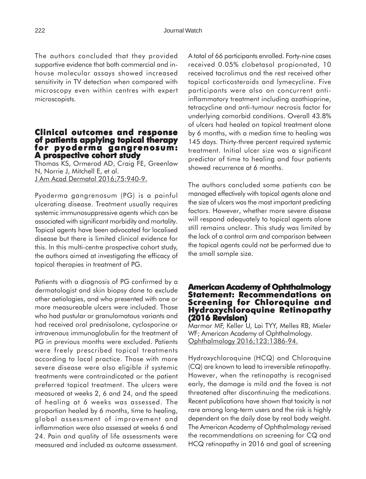The authors concluded that they provided supportive evidence that both commercial and inhouse molecular assays showed increased sensitivity in TV detection when compared with microscopy even within centres with expert microscopists.

#### **Clinical outcomes and response of patients applying topical therapy for pyoderma gangrenosum: pyoderma A prospective cohort study**

Thomas KS, Ormerod AD, Craig FE, Greenlaw N, Norrie J, Mitchell E, et al. J Am Acad Dermatol 2016;75:940-9.

Pyoderma gangrenosum (PG) is a painful ulcerating disease. Treatment usually requires systemic immunosuppressive agents which can be associated with significant morbidity and mortality. Topical agents have been advocated for localised disease but there is limited clinical evidence for this. In this multi-centre prospective cohort study, the authors aimed at investigating the efficacy of topical therapies in treatment of PG.

Patients with a diagnosis of PG confirmed by a dermatologist and skin biopsy done to exclude other aetiologies, and who presented with one or more measureable ulcers were included. Those who had pustular or granulomatous variants and had received oral prednisolone, cyclosporine or intravenous immunoglobulin for the treatment of PG in previous months were excluded. Patients were freely prescribed topical treatments according to local practice. Those with more severe disease were also eligible if systemic treatments were contraindicated or the patient preferred topical treatment. The ulcers were measured at weeks 2, 6 and 24, and the speed of healing at 6 weeks was assessed. The proportion healed by 6 months, time to healing, global assessment of improvement and inflammation were also assessed at weeks 6 and 24. Pain and quality of life assessments were measured and included as outcome assessment.

A total of 66 participants enrolled. Forty-nine cases received 0.05% clobetasol propionated, 10 received tacrolimus and the rest received other topical corticosteroids and lymecycline. Five participants were also on concurrent antiinflammatory treatment including azathioprine, tetracycline and anti-tumour necrosis factor for underlying comorbid conditions. Overall 43.8% of ulcers had healed on topical treatment alone by 6 months, with a median time to healing was 145 days. Thirty-three percent required systemic treatment. Initial ulcer size was a significant predictor of time to healing and four patients showed recurrence at 6 months.

The authors concluded some patients can be managed effectively with topical agents alone and the size of ulcers was the most important predicting factors. However, whether more severe disease will respond adequately to topical agents alone still remains unclear. This study was limited by the lack of a control arm and comparison between the topical agents could not be performed due to the small sample size.

#### **American Academy of Ophthalmology Statement: Recommendations on Screening for Chloroquine and Hydroxychloroquine Retinopathy (2016 Revision) evision)**

Marmor MF, Keller U, Lai TYY, Melles RB, Mieler WF; American Academy of Ophthalmology. Ophthalmology 2016;123:1386-94.

Hydroxychloroquine (HCQ) and Chloroquine (CQ) are known to lead to irreversible retinopathy. However, when the retinopathy is recognised early, the damage is mild and the fovea is not threatened after discontinuing the medications. Recent publications have shown that toxicity is not rare among long-term users and the risk is highly dependent on the daily dose by real body weight. The American Academy of Ophthalmology revised the recommendations on screening for CQ and HCQ retinopathy in 2016 and goal of screening